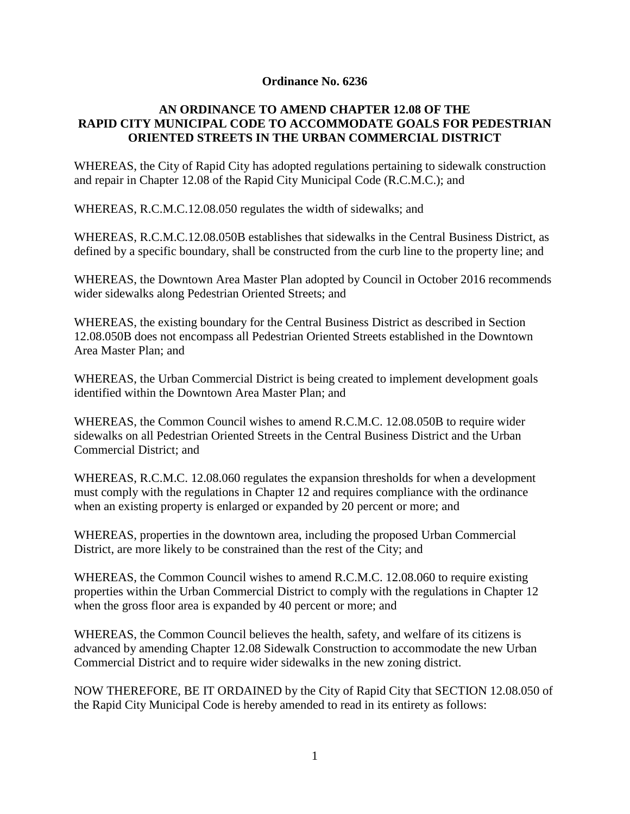### **Ordinance No. 6236**

## **AN ORDINANCE TO AMEND CHAPTER 12.08 OF THE RAPID CITY MUNICIPAL CODE TO ACCOMMODATE GOALS FOR PEDESTRIAN ORIENTED STREETS IN THE URBAN COMMERCIAL DISTRICT**

WHEREAS, the City of Rapid City has adopted regulations pertaining to sidewalk construction and repair in Chapter 12.08 of the Rapid City Municipal Code (R.C.M.C.); and

WHEREAS, R.C.M.C.12.08.050 regulates the width of sidewalks; and

WHEREAS, R.C.M.C.12.08.050B establishes that sidewalks in the Central Business District, as defined by a specific boundary, shall be constructed from the curb line to the property line; and

WHEREAS, the Downtown Area Master Plan adopted by Council in October 2016 recommends wider sidewalks along Pedestrian Oriented Streets; and

WHEREAS, the existing boundary for the Central Business District as described in Section 12.08.050B does not encompass all Pedestrian Oriented Streets established in the Downtown Area Master Plan; and

WHEREAS, the Urban Commercial District is being created to implement development goals identified within the Downtown Area Master Plan; and

WHEREAS, the Common Council wishes to amend R.C.M.C. 12.08.050B to require wider sidewalks on all Pedestrian Oriented Streets in the Central Business District and the Urban Commercial District; and

WHEREAS, R.C.M.C. 12.08.060 regulates the expansion thresholds for when a development must comply with the regulations in Chapter 12 and requires compliance with the ordinance when an existing property is enlarged or expanded by 20 percent or more; and

WHEREAS, properties in the downtown area, including the proposed Urban Commercial District, are more likely to be constrained than the rest of the City; and

WHEREAS, the Common Council wishes to amend R.C.M.C. 12.08.060 to require existing properties within the Urban Commercial District to comply with the regulations in Chapter 12 when the gross floor area is expanded by 40 percent or more; and

WHEREAS, the Common Council believes the health, safety, and welfare of its citizens is advanced by amending Chapter 12.08 Sidewalk Construction to accommodate the new Urban Commercial District and to require wider sidewalks in the new zoning district.

NOW THEREFORE, BE IT ORDAINED by the City of Rapid City that SECTION 12.08.050 of the Rapid City Municipal Code is hereby amended to read in its entirety as follows: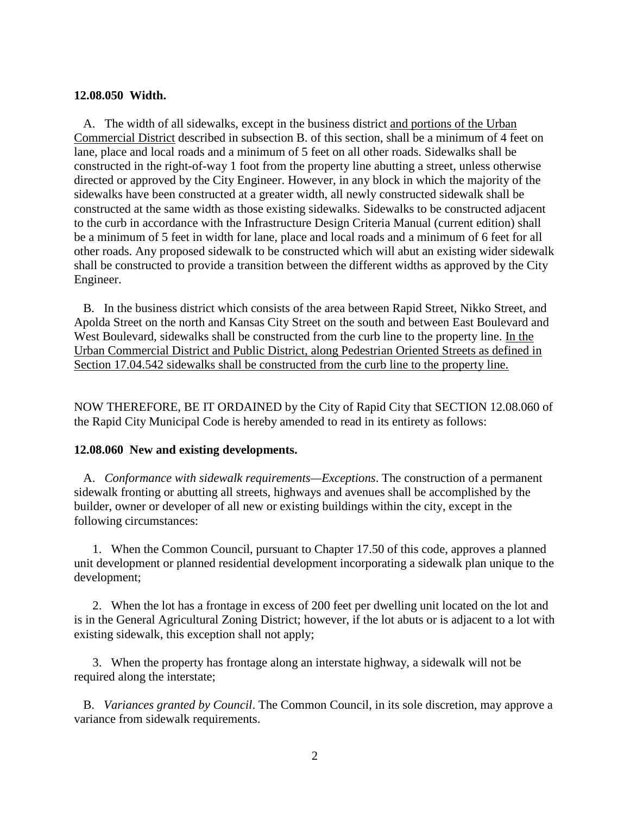#### **12.08.050 Width.**

 A. The width of all sidewalks, except in the business district and portions of the Urban Commercial District described in subsection B. of this section, shall be a minimum of 4 feet on lane, place and local roads and a minimum of 5 feet on all other roads. Sidewalks shall be constructed in the right-of-way 1 foot from the property line abutting a street, unless otherwise directed or approved by the City Engineer. However, in any block in which the majority of the sidewalks have been constructed at a greater width, all newly constructed sidewalk shall be constructed at the same width as those existing sidewalks. Sidewalks to be constructed adjacent to the curb in accordance with the Infrastructure Design Criteria Manual (current edition) shall be a minimum of 5 feet in width for lane, place and local roads and a minimum of 6 feet for all other roads. Any proposed sidewalk to be constructed which will abut an existing wider sidewalk shall be constructed to provide a transition between the different widths as approved by the City Engineer.

 B. In the business district which consists of the area between Rapid Street, Nikko Street, and Apolda Street on the north and Kansas City Street on the south and between East Boulevard and West Boulevard, sidewalks shall be constructed from the curb line to the property line. In the Urban Commercial District and Public District, along Pedestrian Oriented Streets as defined in Section 17.04.542 sidewalks shall be constructed from the curb line to the property line.

NOW THEREFORE, BE IT ORDAINED by the City of Rapid City that SECTION 12.08.060 of the Rapid City Municipal Code is hereby amended to read in its entirety as follows:

#### **12.08.060 New and existing developments.**

 A. *Conformance with sidewalk requirements—Exceptions*. The construction of a permanent sidewalk fronting or abutting all streets, highways and avenues shall be accomplished by the builder, owner or developer of all new or existing buildings within the city, except in the following circumstances:

 1. When the Common Council, pursuant to Chapter 17.50 of this code, approves a planned unit development or planned residential development incorporating a sidewalk plan unique to the development;

 2. When the lot has a frontage in excess of 200 feet per dwelling unit located on the lot and is in the General Agricultural Zoning District; however, if the lot abuts or is adjacent to a lot with existing sidewalk, this exception shall not apply;

 3. When the property has frontage along an interstate highway, a sidewalk will not be required along the interstate;

 B. *Variances granted by Council*. The Common Council, in its sole discretion, may approve a variance from sidewalk requirements.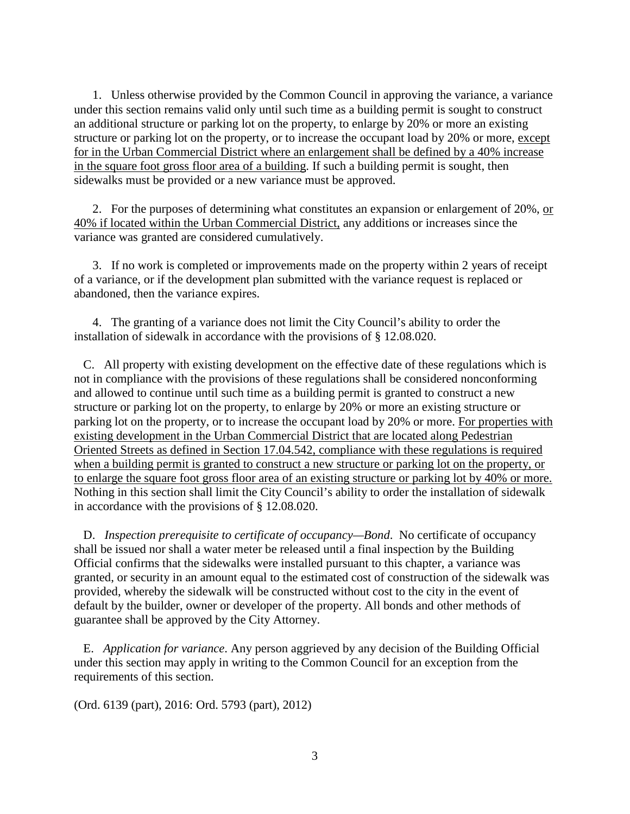1. Unless otherwise provided by the Common Council in approving the variance, a variance under this section remains valid only until such time as a building permit is sought to construct an additional structure or parking lot on the property, to enlarge by 20% or more an existing structure or parking lot on the property, or to increase the occupant load by 20% or more, except for in the Urban Commercial District where an enlargement shall be defined by a 40% increase in the square foot gross floor area of a building. If such a building permit is sought, then sidewalks must be provided or a new variance must be approved.

2. For the purposes of determining what constitutes an expansion or enlargement of 20%, or 40% if located within the Urban Commercial District, any additions or increases since the variance was granted are considered cumulatively.

 3. If no work is completed or improvements made on the property within 2 years of receipt of a variance, or if the development plan submitted with the variance request is replaced or abandoned, then the variance expires.

 4. The granting of a variance does not limit the City Council's ability to order the installation of sidewalk in accordance with the provisions of § 12.08.020.

 C. All property with existing development on the effective date of these regulations which is not in compliance with the provisions of these regulations shall be considered nonconforming and allowed to continue until such time as a building permit is granted to construct a new structure or parking lot on the property, to enlarge by 20% or more an existing structure or parking lot on the property, or to increase the occupant load by 20% or more. For properties with existing development in the Urban Commercial District that are located along Pedestrian Oriented Streets as defined in Section 17.04.542, compliance with these regulations is required when a building permit is granted to construct a new structure or parking lot on the property, or to enlarge the square foot gross floor area of an existing structure or parking lot by 40% or more. Nothing in this section shall limit the City Council's ability to order the installation of sidewalk in accordance with the provisions of § 12.08.020.

 D. *Inspection prerequisite to certificate of occupancy—Bond*. No certificate of occupancy shall be issued nor shall a water meter be released until a final inspection by the Building Official confirms that the sidewalks were installed pursuant to this chapter, a variance was granted, or security in an amount equal to the estimated cost of construction of the sidewalk was provided, whereby the sidewalk will be constructed without cost to the city in the event of default by the builder, owner or developer of the property. All bonds and other methods of guarantee shall be approved by the City Attorney.

 E. *Application for variance*. Any person aggrieved by any decision of the Building Official under this section may apply in writing to the Common Council for an exception from the requirements of this section.

(Ord. 6139 (part), 2016: Ord. 5793 (part), 2012)